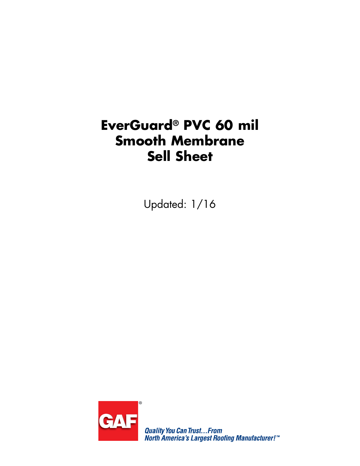# **EverGuard® PVC 60 mil Smooth Membrane Sell Sheet**

Updated: 1/16



**Quality You Can Trust...From<br>North America's Largest Roofing Manufacturer!"**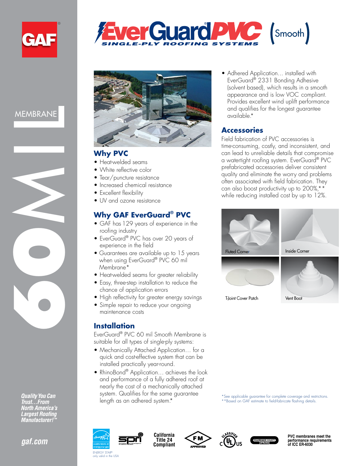



**Quality You Can** Trust...From **North America's Largest Roofing Manufacturer!** 





SINGLE-PLY ROOFING SYSTEMS

er Guard PVC (Smooth)

#### **Why PVC**

- Heat-welded seams
- White reflective color
- Tear/puncture resistance
- Increased chemical resistance
- Excellent flexibility
- UV and ozone resistance

### **Why GAF EverGuard® PVC**

- GAF has 129 years of experience in the roofing industry
- EverGuard® PVC has over 20 years of experience in the field
- Guarantees are available up to 15 years when using EverGuard<sup>®</sup> PVC 60 mil Membrane\*
- Heat-welded seams for greater reliability
- Easy, three-step installation to reduce the chance of application errors
- High reflectivity for greater energy savings
- Simple repair to reduce your ongoing maintenance costs

#### **Installation**

EverGuard® PVC 60 mil Smooth Membrane is suitable for all types of single-ply systems:

- Mechanically Attached Application… for a quick and cost-effective system that can be installed practically year-round.
- RhinoBond® Application... achieves the look and performance of a fully adhered roof at nearly the cost of a mechanically attached system. Qualifies for the same guarantee length as an adhered system.\*

• Adhered Application... installed with EverGuard® 2331 Bonding Adhesive (solvent based), which results in a smooth appearance and is low VOC compliant. Provides excellent wind uplift performance and qualifies for the longest guarantee available.\*

#### **Accessories**

Field fabrication of PVC accessories is time-consuming, costly, and inconsistent, and can lead to unreliable details that compromise a watertight roofing system. EverGuard® PVC prefabricated accessories deliver consistent quality and eliminate the worry and problems often associated with field fabrication. They can also boost productivity up to 200%,\*\* while reducing installed cost by up to 12%.



\*See applicable guarantee for complete coverage and restrictions. \*\*Based on GAF estimate to field-fabricate flashing details.



valid in the USA









**PVC membranes meet the performance requirements of ICC ER-6030**